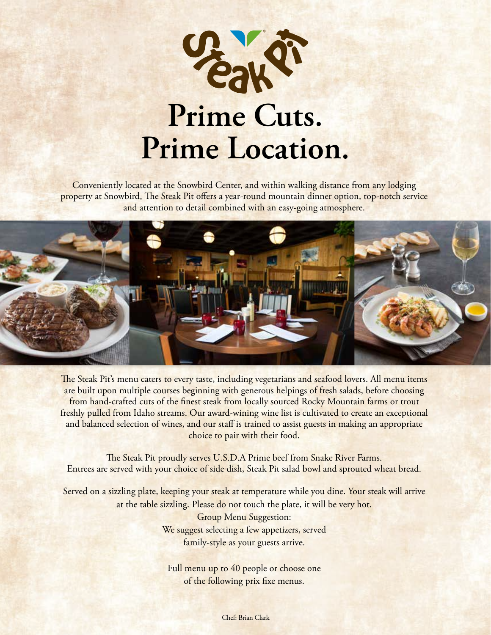

Conveniently located at the Snowbird Center, and within walking distance from any lodging property at Snowbird, The Steak Pit offers a year-round mountain dinner option, top-notch service and attention to detail combined with an easy-going atmosphere.



The Steak Pit's menu caters to every taste, including vegetarians and seafood lovers. All menu items are built upon multiple courses beginning with generous helpings of fresh salads, before choosing from hand-crafted cuts of the finest steak from locally sourced Rocky Mountain farms or trout freshly pulled from Idaho streams. Our award-wining wine list is cultivated to create an exceptional and balanced selection of wines, and our staff is trained to assist guests in making an appropriate choice to pair with their food.

The Steak Pit proudly serves U.S.D.A Prime beef from Snake River Farms. Entrees are served with your choice of side dish, Steak Pit salad bowl and sprouted wheat bread.

Served on a sizzling plate, keeping your steak at temperature while you dine. Your steak will arrive at the table sizzling. Please do not touch the plate, it will be very hot.

> Group Menu Suggestion: We suggest selecting a few appetizers, served family-style as your guests arrive.

Full menu up to 40 people or choose one of the following prix fixe menus.

Chef: Brian Clark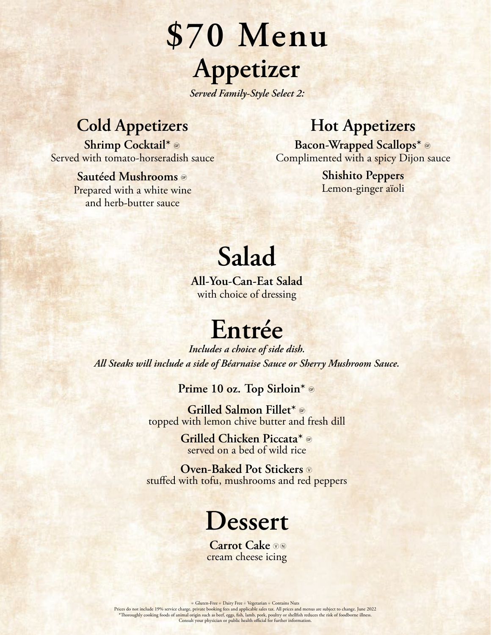**\$70 Menu Appetizer**

*Served Family-Style Select 2:*

#### **Cold Appetizers**

**Shrimp Cocktail\*** g Served with tomato-horseradish sauce

> **Sautéed Mushrooms** g Prepared with a white wine and herb-butter sauce

#### **Hot Appetizers**

**Bacon-Wrapped Scallops\*** g Complimented with a spicy Dijon sauce

> **Shishito Peppers** Lemon-ginger aïoli

### **Salad**

**All-You-Can-Eat Salad**  with choice of dressing

### **Entrée**

*Includes a choice of side dish. All Steaks will include a side of Béarnaise Sauce or Sherry Mushroom Sauce.* 

**Prime 10 oz. Top Sirloin\*** g

**Grilled Salmon Fillet\*** g topped with lemon chive butter and fresh dill

> **Grilled Chicken Piccata\*** g served on a bed of wild rice

**Oven-Baked Pot Stickers**  $\circ$ stuffed with tofu, mushrooms and red peppers

### **Dessert**

**Carrot Cake**  $\circledcirc$ cream cheese icing

Culuten-Free ® Dairy Free ® Vegetarian ® Contains Nuts<br>Prices do not include 19% service charge, private booking fees and applicable sales tax. All prices and menus are subject to change. June 2022<br>\*Thoroughly cooking food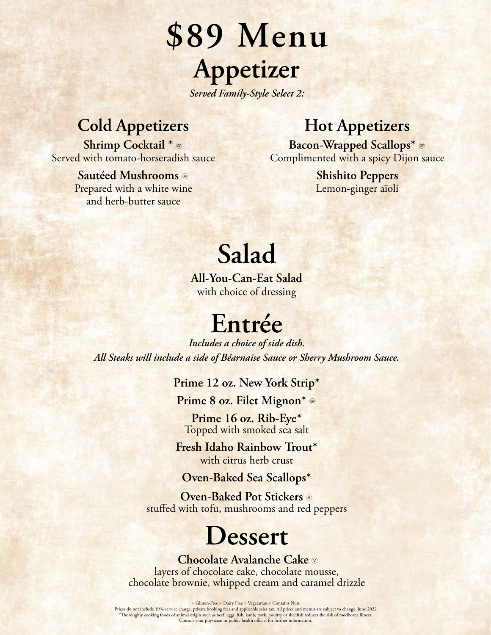# **\$89 Menu Appetizer**

*Served Family-Style Select 2:* 

### **Cold Appetizers**

**Shrimp Cocktail \*** g Served with tomato-horseradish sauce

#### **Sautéed Mushrooms** g Prepared with a white wine and herb-butter sauce

#### **Hot Appetizers**

**Bacon-Wrapped Scallops\*** g Complimented with a spicy Dijon sauce

> **Shishito Peppers** Lemon-ginger aïoli

## **Salad**

**All-You-Can-Eat Salad**  with choice of dressing

### **Entrée**

*Includes a choice of side dish. All Steaks will include a side of Béarnaise Sauce or Sherry Mushroom Sauce.* 

**Prime 12 oz. New York Strip\***

**Prime 8 oz. Filet Mignon\*** g

**Prime 16 oz. Rib-Eye\*** Topped with smoked sea salt

**Fresh Idaho Rainbow Trout\***  with citrus herb crust

**Oven-Baked Sea Scallops\***

**Oven-Baked Pot Stickers**  $\circledcirc$ stuffed with tofu, mushrooms and red peppers

### **Dessert**

 **Chocolate Avalanche Cake** V layers of chocolate cake, chocolate mousse, chocolate brownie, whipped cream and caramel drizzle

© Gluten-Free ® Dairy Free ® Vegetarian ® Contains Nuts<br>Prices do not include 19% service charge, private booking fees and applicable sales tax. All prices and menus are subject to change. June 2022<br>\*Thoroughly cooking fo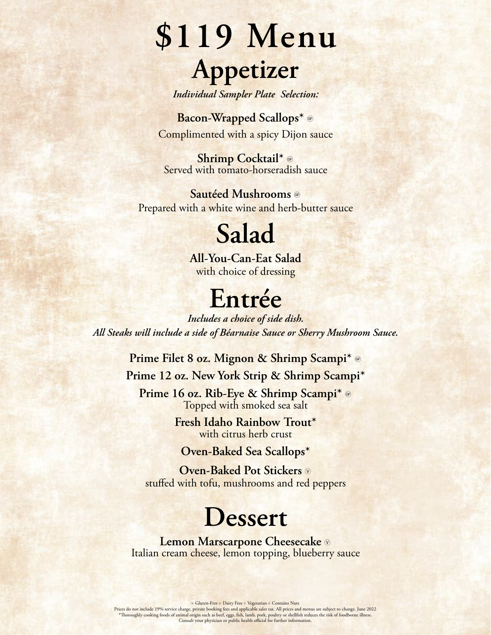# **\$119 Menu Appetizer**

*Individual Sampler Plate Selection:*

**Bacon-Wrapped Scallops\*** g Complimented with a spicy Dijon sauce

**Shrimp Cocktail\*** g Served with tomato-horseradish sauce

**Sautéed Mushrooms** g Prepared with a white wine and herb-butter sauce

### **Salad**

**All-You-Can-Eat Salad**  with choice of dressing

### **Entrée**

*Includes a choice of side dish. All Steaks will include a side of Béarnaise Sauce or Sherry Mushroom Sauce.*

**Prime Filet 8 oz. Mignon & Shrimp Scampi\*** g

**Prime 12 oz. New York Strip & Shrimp Scampi\***

**Prime 16 oz. Rib-Eye & Shrimp Scampi\*** g Topped with smoked sea salt

> **Fresh Idaho Rainbow Trout\*** with citrus herb crust

**Oven-Baked Sea Scallops\***

**Oven-Baked Pot Stickers**  $\circ$ stuffed with tofu, mushrooms and red peppers

### **Dessert**

**Lemon Marscarpone Cheesecake**  $\circ$ Italian cream cheese, lemon topping, blueberry sauce

Culuten-Free ® Dairy Free ® Vegetarian ® Contains Nuts<br>Prices do not include 19% service charge, private booking fees and applicable sales tax. All prices and menus are subject to change. June 2022<br>\*Thoroughly cooking food